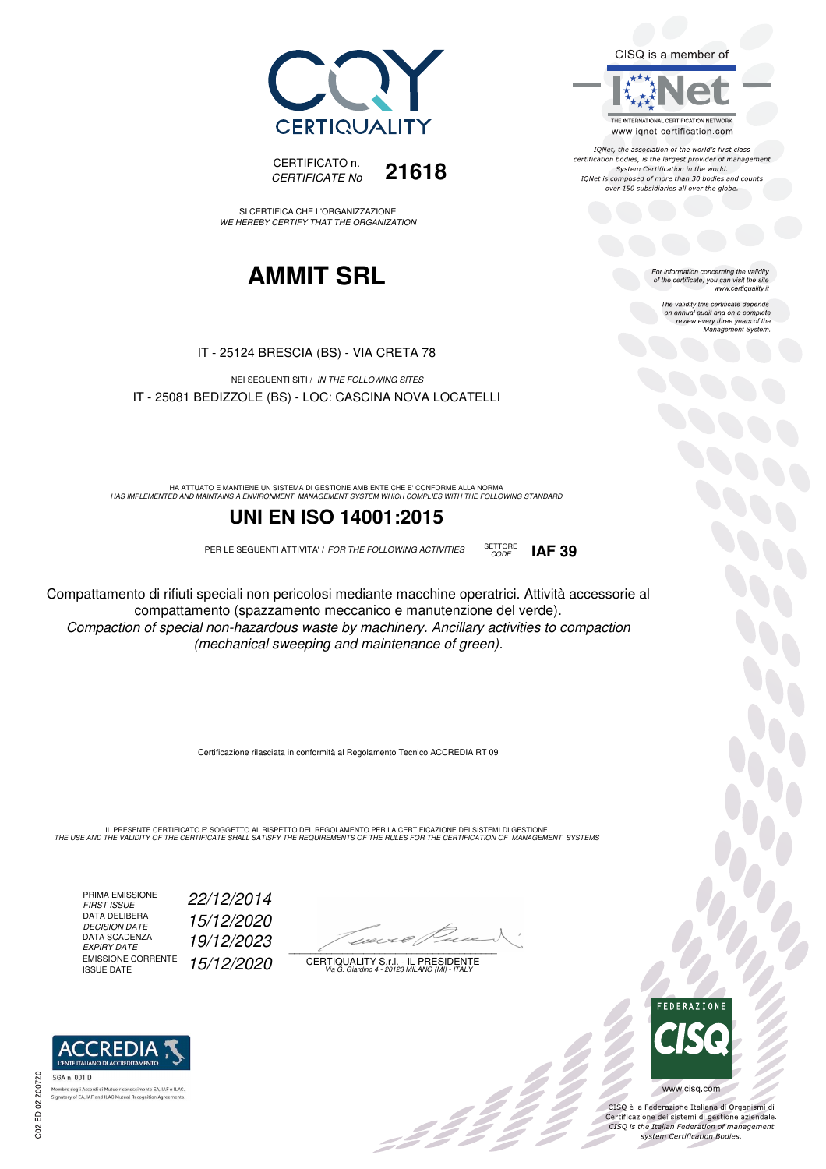CISQ is a member of



IONet, the association of the world's first class certification bodies, is the largest provider of management System Certification in the world. IQNet is composed of more than 30 bodies and counts over 150 subsidiaries all over the globe.

CODE **IAF 39**

For information concerning the validity<br>of the certificate, you can visit the site<br>www.certiquality.it

The validity this certificate depends on annual audit and on a complete review every three years of the Management System.



CERTIFICATO n. CERTIFICATE No **21618** 

SI CERTIFICA CHE L'ORGANIZZAZIONE WE HEREBY CERTIFY THAT THE ORGANIZATION

## **AMMIT SRL**

IT - 25124 BRESCIA (BS) - VIA CRETA 78

NEI SEGUENTI SITI / IN THE FOLLOWING SITES IT - 25081 BEDIZZOLE (BS) - LOC: CASCINA NOVA LOCATELLI

HA ATTUATO E MANTIENE UN SISTEMA DI GESTIONE AMBIENTE CHE E' CONFORME ALLA NORMA<br>HAS IMPLEMENTED AND MAINTAINS A ENVIRONMENT MANAGEMENT SYSTEM WHICH COMPLIES WITH THE FOLLOWING STANDARD

### **UNI EN ISO 14001:2015**

PER LE SEGUENTI ATTIVITA' / FOR THE FOLLOWING ACTIVITIES SETTORE

Compattamento di rifiuti speciali non pericolosi mediante macchine operatrici. Attività accessorie al compattamento (spazzamento meccanico e manutenzione del verde). Compaction of special non-hazardous waste by machinery. Ancillary activities to compaction (mechanical sweeping and maintenance of green).

Certificazione rilasciata in conformità al Regolamento Tecnico ACCREDIA RT 09

IL PRESENTE CERTIFICATO E' SOGGETTO AL RISPETTO DEL REGOLAMENTO PER LA CERTIFICAZIONE DEI SISTEMI DI GESTIONE<br>THE USE AND THE VALIDITY OF THE CERTIFICATE SHALL SATISFY THE REQUIREMENTS OF THE RULES FOR THE CERTIFICATION OF

PRIMA EMISSIONE FIRST ISSUE 22/12/2014 DATA DELIBERA 15/12/2020 DECISION DATE<br>DATA SCADENZA<br>EXPIRY DATE EXPIRY DATE 19/12/2023 EMISSIONE CORRENTE<br>ISSUE DATE 15/12/2020

 $\overline{\phantom{a}}$ 

:42 p

CERTIQUALITY S.r.l. - IL PRESIDENTE Via G. Giardino 4 - 20123 MILANO (MI) - ITALY



io<br>Op

CISQ è la Federazione Italiana di Organismi di Certificazione dei sistemi di gestione aziendale.<br>CISQ is the Italian Federation of management system Certification Bodies.



C02 ED 02 200720